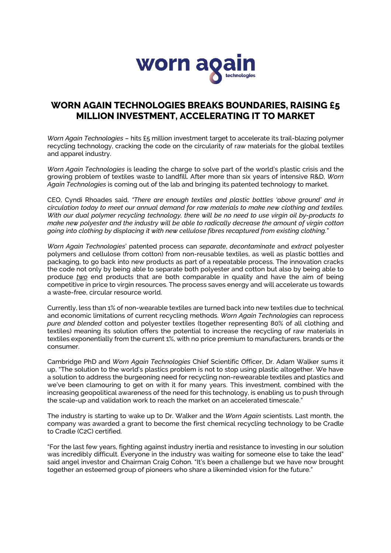

## **WORN AGAIN TECHNOLOGIES BREAKS BOUNDARIES, RAISING £5 MILLION INVESTMENT, ACCELERATING IT TO MARKET**

*Worn Again Technologies* – hits £5 million investment target to accelerate its trail-blazing polymer recycling technology, cracking the code on the circularity of raw materials for the global textiles and apparel industry.

*Worn Again Technologies* is leading the charge to solve part of the world's plastic crisis and the growing problem of textiles waste to landfill. After more than six years of intensive R&D, *Worn Again Technologies* is coming out of the lab and bringing its patented technology to market.

CEO, Cyndi Rhoades said, *"There are enough textiles and plastic bottles 'above ground' and in circulation today to meet our annual demand for raw materials to make new clothing and textiles. With our dual polymer recycling technology, there will be no need to use virgin oil by-products to make new polyester and the industry will be able to radically decrease the amount of virgin cotton going into clothing by displacing it with new cellulose fibres recaptured from existing clothing."*

*Worn Again Technologies*' patented process can *separate*, *decontaminate* and *extract* polyester polymers and cellulose (from cotton) from non-reusable textiles, as well as plastic bottles and packaging, to go back into new products as part of a repeatable process. The innovation cracks the code not only by being able to separate both polyester and cotton but also by being able to produce *two* end products that are both comparable in quality and have the aim of being competitive in price to virgin resources. The process saves energy and will accelerate us towards a waste-free, circular resource world.

Currently, less than 1% of non-wearable textiles are turned back into new textiles due to technical and economic limitations of current recycling methods. *Worn Again Technologies* can reprocess *pure and blended* cotton and polyester textiles (together representing 80% of all clothing and textiles) meaning its solution offers the potential to increase the recycling of raw materials in textiles exponentially from the current 1%, with no price premium to manufacturers, brands or the consumer.

Cambridge PhD and *Worn Again Technologies* Chief Scientific Officer, Dr. Adam Walker sums it up, "The solution to the world's plastics problem is not to stop using plastic altogether. We have a solution to address the burgeoning need for recycling non-rewearable textiles and plastics and we've been clamouring to get on with it for many years. This investment, combined with the increasing geopolitical awareness of the need for this technology, is enabling us to push through the scale-up and validation work to reach the market on an accelerated timescale."

The industry is starting to wake up to Dr. Walker and the *Worn Again* scientists. Last month, the company was awarded a grant to become the first chemical recycling technology to be Cradle to Cradle (C2C) certified.

"For the last few years, fighting against industry inertia and resistance to investing in our solution was incredibly difficult. Everyone in the industry was waiting for someone else to take the lead" said angel investor and Chairman Craig Cohon. "It's been a challenge but we have now brought together an esteemed group of pioneers who share a likeminded vision for the future."